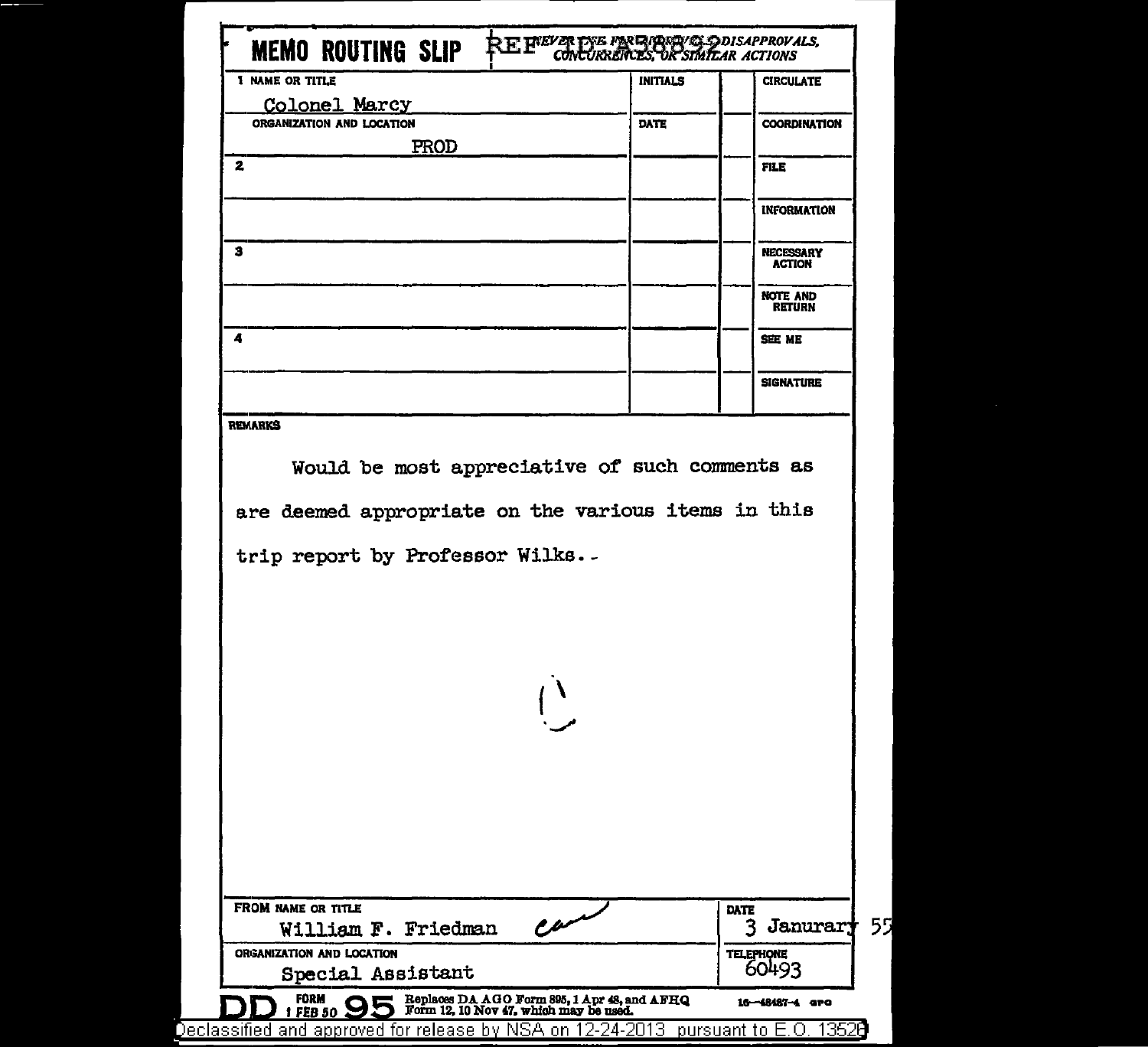| <b>1 NAME OR TITLE</b>                              | <b>INITIALS</b> | <b>CIRCULATE</b>                  |
|-----------------------------------------------------|-----------------|-----------------------------------|
| Colonel Marcy                                       |                 |                                   |
| ORGANIZATION AND LOCATION                           | <b>DATE</b>     | <b>COORDINATION</b>               |
| PROD                                                |                 |                                   |
| 2                                                   |                 | <b>FILE</b>                       |
|                                                     |                 |                                   |
|                                                     |                 | <b>INFORMATION</b>                |
| з                                                   |                 | <b>NECESSARY</b><br><b>ACTION</b> |
|                                                     |                 | NOTE AND<br><b>RETURN</b>         |
| 4                                                   |                 | <b>SEE ME</b>                     |
|                                                     |                 | <b>SIGNATURE</b>                  |
| <b>REMARKS</b>                                      |                 |                                   |
|                                                     |                 |                                   |
|                                                     |                 |                                   |
| Would be most appreciative of such comments as      |                 |                                   |
|                                                     |                 |                                   |
|                                                     |                 |                                   |
|                                                     |                 |                                   |
|                                                     |                 |                                   |
| trip report by Professor Wilks.-                    |                 |                                   |
|                                                     |                 |                                   |
|                                                     |                 |                                   |
|                                                     |                 |                                   |
|                                                     |                 |                                   |
|                                                     |                 |                                   |
| $\int_{0}^{1}$                                      |                 |                                   |
|                                                     |                 |                                   |
|                                                     |                 |                                   |
|                                                     |                 |                                   |
|                                                     |                 |                                   |
|                                                     |                 |                                   |
|                                                     |                 |                                   |
| are deemed appropriate on the various items in this |                 |                                   |
|                                                     |                 | DATE                              |
| FROM NAME OR TITLE<br>William F. Friedman           |                 | 3 Janurar                         |
| تسمع<br>ORGANIZATION AND LOCATION                   |                 | <b>TELEPHONE</b><br>60493         |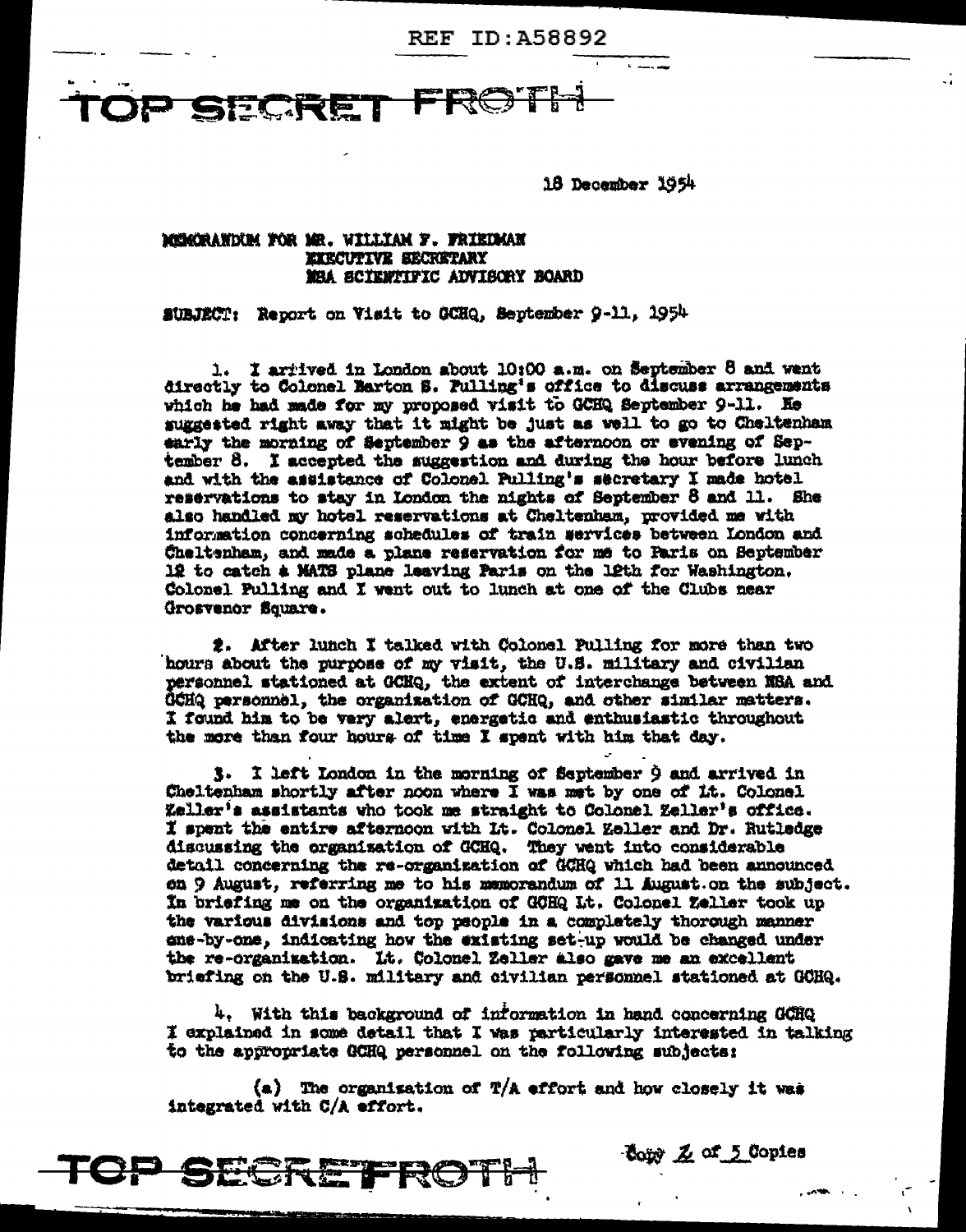**REF ID: A58892** 

SECRET

18 December 1954

### MEMORANDUM FOR MR. WILLIAM F. FRIEDMAN **EXECUTIVE SECRETARY** MEA SCIENTIFIC ADVISORY BOARD

SUBJECT: Report on Visit to GCHQ, September 9-11, 1954

1. I arrived in London about 10:00 a.m. on September 8 and went directly to Colonel Barton S. Pulling's office to discuss arrangements which he had made for my proposed visit to GCHQ September 9-11. He suggested right away that it might be just as well to go to Cheltenham early the morning of September 9 as the afternoon or evening of September 8. I accepted the suggestion and during the hour before lunch and with the assistance of Colonel Pulling's secretary I made hotel reservations to stay in London the nights of September 8 and 11. She also handled my hotel reservations at Cheltenham, provided me with information concerning schedules of train services between London and Cheltenham, and made a plane reservation for me to Paris on September 12 to catch a MATS plane leaving Paris on the 12th for Washington. Colonel Pulling and I went out to lunch at one of the Clubs near Grosvenor Square.

2. After lunch I talked with Colonel Pulling for more than two hours about the purpose of my visit, the U.S. military and civilian personnel stationed at GCHQ, the extent of interchange between NSA and GCHQ personnel, the organization of GCHQ, and other similar matters. I found him to be very alert, energetic and enthusiastic throughout the more than four hours of time I spent with him that day.

3. I left London in the morning of September 9 and arrived in Cheltenham shortly after noon where I was met by one of it. Colonel Zeller's assistants who took me straight to Colonel Zeller's office. I spent the entire afternoon with Lt. Colonel Zeller and Dr. Rutledge discussing the organization of GCHQ. They went into considerable detail concerning the re-organization of GCHQ which had been announced on 9 August, referring me to his memorandum of 11 August.on the subject. In briefing me on the organization of GOHQ Lt. Colonel Zeller took up the various divisions and top people in a completely thorough manner ene-by-one, indicating how the existing set-up would be changed under the re-organization. It. Colonel Zeller also gave me an excellent briefing on the U.S. military and civilian personnel stationed at GOHQ.

4. With this background of information in hand concerning GCHQ I explained in some detail that I was particularly interested in talking to the appropriate GCHQ personnel on the following subjects:

Comp Z of 5 Copies

(a) The organisation of  $T/A$  effort and how closely it was integrated with C/A effort.

TCP SECRETROTI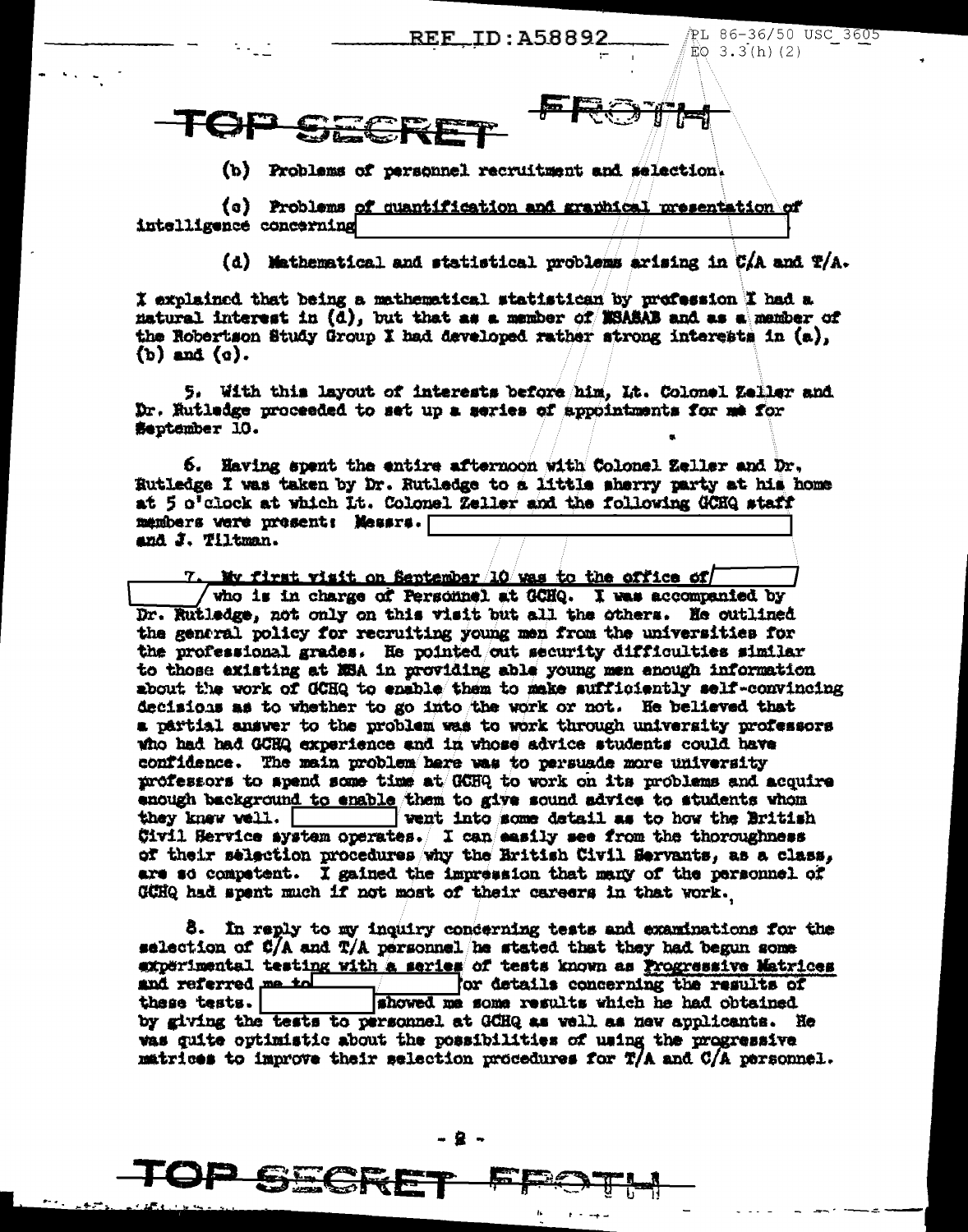<u>REF\_ID:A58892</u>

PL 86-36/50 USC 3605  $EO$  3.3(h)(2)



(b) Problems of personnel recruitment and selection.

(c) Problems of quantification and graphical presentation of intelligence concerning

(d) Mathematical and statistical problems arising in CAA and T/A.

I explained that being a mathematical statistican by profession I had a matural interest in (d), but that as a member of MSASAB and as a member of the Robertson Study Group I had developed rather strong interests in (a).  $(b)$  and  $(c)$ .

5. With this layout of interests before him, Lt. Colonel Zeller and Dr. Hutladge proceeded to set up a series of appointments for me for September 10.

6. Having spent the entire afternoon with Colonel Zeller and Dr. Rutledge I was taken by Dr. Rutledge to a little sherry party at his home at 5 o'clock at which it. Colonel Zeller and the following GCHQ staff members were present: Messrs. [ and J. Tiltman.

No first visit on September 10 was to the office of who is in charge of Personnel at GCHQ. I was accompanied by Dr. Rutledge, not only on this visit but all the others. He outlined the general policy for recruiting young men from the universities for the professional grades. He pointed out security difficulties similar to those existing at NSA in providing able young men enough information about the work of GCHQ to enable them to make sufficiently self-convincing decisions as to whether to go into the work or not. He believed that a partial answer to the problem was to work through university professors who had had GCHQ experience and in whose advice students could have confidence. The main problem here was to persuade more university professors to apend some time at GCHQ to work on its problems and acquire enough background to enable them to give sound advice to students whom they knew well. went into some detail as to how the British Civil Service system operates. I can easily see from the thoroughness of their selection procedures why the Hritish Civil Servants, as a class, are so compatent. I gained the impression that many of the personnel of GCHQ had spent much if not most of their careers in that work.

8. In reply to my inquiry concerning tests and examinations for the selection of C/A and T/A personnel he stated that they had begun some experimental testing with a series of tests known as Progressive Matrices and referred me to for details concerning the results of showed me some results which he had obtained these tests. by giving the tests to personnel at GCHQ as well as new applicants. He was guite optimistic about the possibilities of using the progressive matrices to improve their selection procedures for  $T/A$  and  $C/A$  personnel.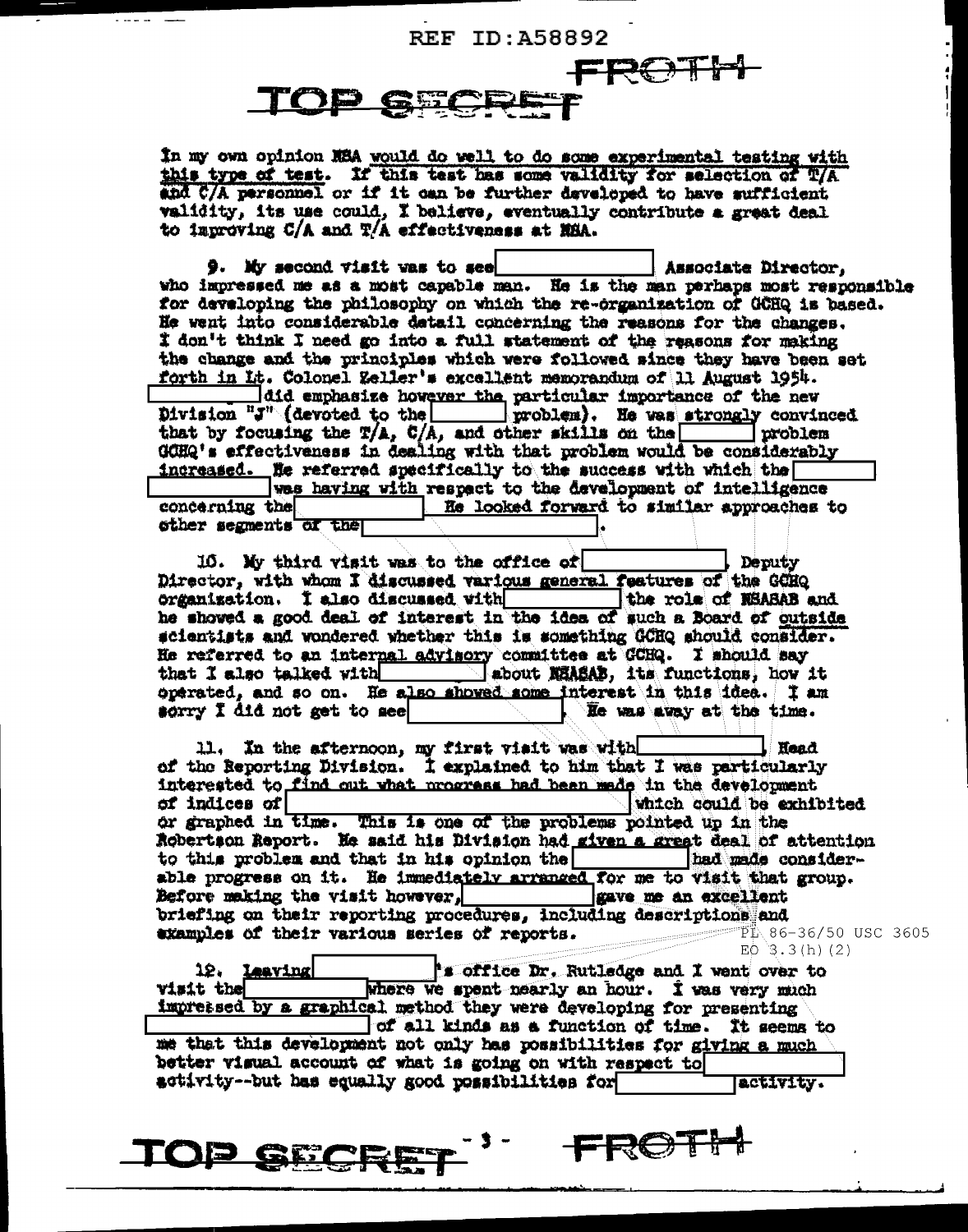# **REF ID: A58892**

# FROTH TOD GEL

In my own opinion NSA would do well to do some experimental testing with this type of test. If this test has some validity for selection of T/A and C/A personnel or if it can be further daveloped to have sufficient validity, its use could, I believe, eventually contribute a great deal to improving C/A and T/A effectiveness at NHA.

 $9.$  My second visit was to see Associate Director. who impressed me as a most capable man. He is the man perhaps most responsible for developing the philosophy on which the re-organization of GCHQ is based. He went into considerable detail concerning the reasons for the changes. I don't think I need go into a full statement of the reasons for making the change and the principles which were followed since they have been set forth in Lt. Colonel Zeller's excellent memorandum of 11 August 1954. did emphasize however the particular importance of the new Division "J" (devoted to the | | problem). He was strongly convinced that by focusing the  $T/A$ ,  $C/A$ , and other skills on the | problem GCHQ's effectiveness in dealing with that problem would be considerably increased. He referred specifically to the success with which the was having with respect to the development of intelligence concerning the He looked forward to similar approaches to other segments of the

10. My third visit was to the office of Deputy Director, with whom I discussed various general features of the GCHQ organization. I also discussed with the role of RSASAB and he showed a good deal of interest in the idea of such a Board of outside scientists and wondered whether this is something GCHQ should consider. He referred to an internal advisory committee at GCHQ. I should say that I also talked with about MAASAB, its functions, how it operated, and so on. He also showed some interest in this idea. I am sorry I did not get to see He was away at the time.

11. In the afternoon, my first visit was with Head of the Reporting Division. I explained to him that I was particularly interested to find out what programs had been made in the development of indices of which could be exhibited or graphed in time. This is one of the problems pointed up in the Robertson Report. He said his Division had given a great deal of attention to this problem and that in his opinion the had made considerable progress on it. He immediately arranged for me to visit that group. Before making the visit however, gave me an excellent briefing on their reporting procedures, including descriptions and examples of their various series of reports. FL 86-36/50 USC 3605  $EO$  3.3(h)(2)

12. Leaving "s office Dr. Rutledge and I went over to visit the where we spent nearly an hour. I was very much impressed by a graphical method they were developing for presenting of all kinds as a function of time. It seems to me that this development not only has possibilities for giving a much better visual account of what is going on with respect to activity -- but has equally good possibilities for lactivity.

**TOP SECF** 

**FROT!**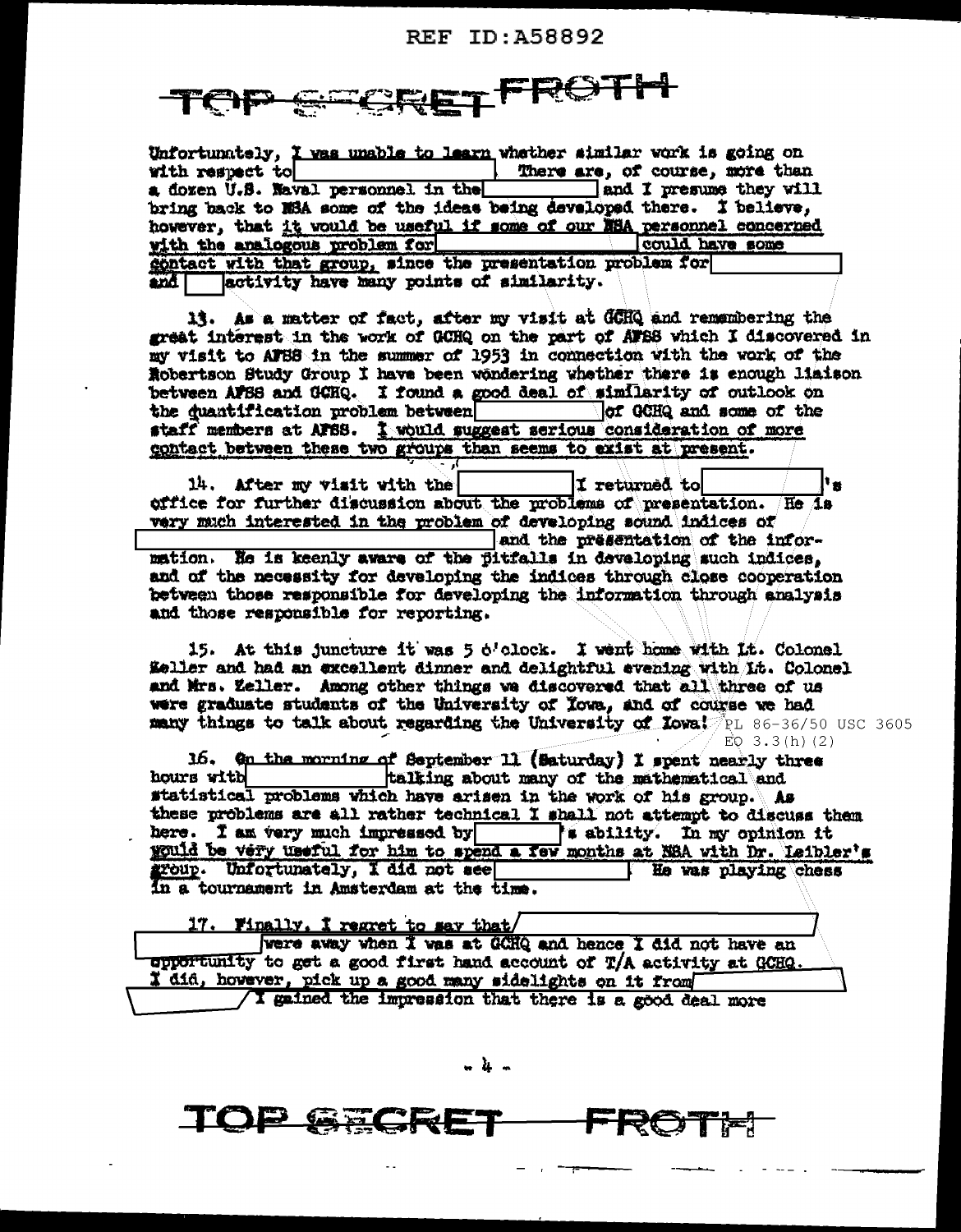# REF ID: A58892

# TFROTH

| Unfortunately, I was unable to learn whether similar work is going on   |                                 |  |  |  |
|-------------------------------------------------------------------------|---------------------------------|--|--|--|
| with respect to                                                         | There are, of course, more than |  |  |  |
| a dozen U.S. Naval personnel in the                                     | and I presume they will         |  |  |  |
| bring back to NSA some of the ideas being developed there. I believe,   |                                 |  |  |  |
| however, that it would be useful if some of our EBA personnel concerned |                                 |  |  |  |
| with the analogous problem for                                          | could have some                 |  |  |  |
| contact with that group, since the presentation problem for             |                                 |  |  |  |
| and activity have many points of similarity.                            |                                 |  |  |  |

13. As a matter of fact, after my visit at GCHQ and remembering the great interest in the work of GCHQ on the part of AFSS which I discovered in my visit to AFBS in the summer of 1953 in connection with the work of the Robertson Study Group I have been wondering whether there is enough liaison between AFSS and GCHQ. I found a good deal of similarity of outlook on of GCHQ and some of the the duantification problem between staff members at AFSS. I would suggest serious consideration of more contact between these two groups than seems to exist at present.

14. After my visit with the I returned tol ١× office for further discussion about the problems of presentation. He is very much interested in the problem of developing sound indices of and the presentation of the infor-

mation. He is keenly aware of the fitfalls in developing such indices, and of the necessity for developing the indices through close cooperation between those responsible for developing the information through analysis and those responsible for reporting.

15. At this juncture it was 5 o'clock. I went home with it. Colonel Keller and had an excellent dinner and delightful evening with it. Colonel and Mrs. Zeller. Among other things we discovered that all three of us were graduate students of the University of Towa, and of course we had many things to talk about regarding the University of Iowa! PL 86-36/50 USC 3605  $EQ$  3.3(h)(2)

16. On the morning of September 11 (Saturday) I spent nearly three hours with talking about many of the mathematical and statistical problems which have arisen in the work of his group. As these problems are all rather technical I shall not attempt to discuss them here. I am very much impressed by **Explicity.** In my opinion it would be very useful for him to spend a few months at NBA with Dr. Leibler's group. Unfortunately, I did not see He was playing chess In a tournament in Amsterdam at the time.

| 17. Finally. I regret to say that/                                                                                                |  |
|-----------------------------------------------------------------------------------------------------------------------------------|--|
| were away when I was at GCHQ and hence I did not have an<br>opportunity to get a good first hand account of T/A activity at GCHG. |  |
| I did, however, pick up a good many sidelights on it from                                                                         |  |
| / I gained the impression that there is a good deal more                                                                          |  |

. հ. ..

 $\bigcup_{i=1}^n$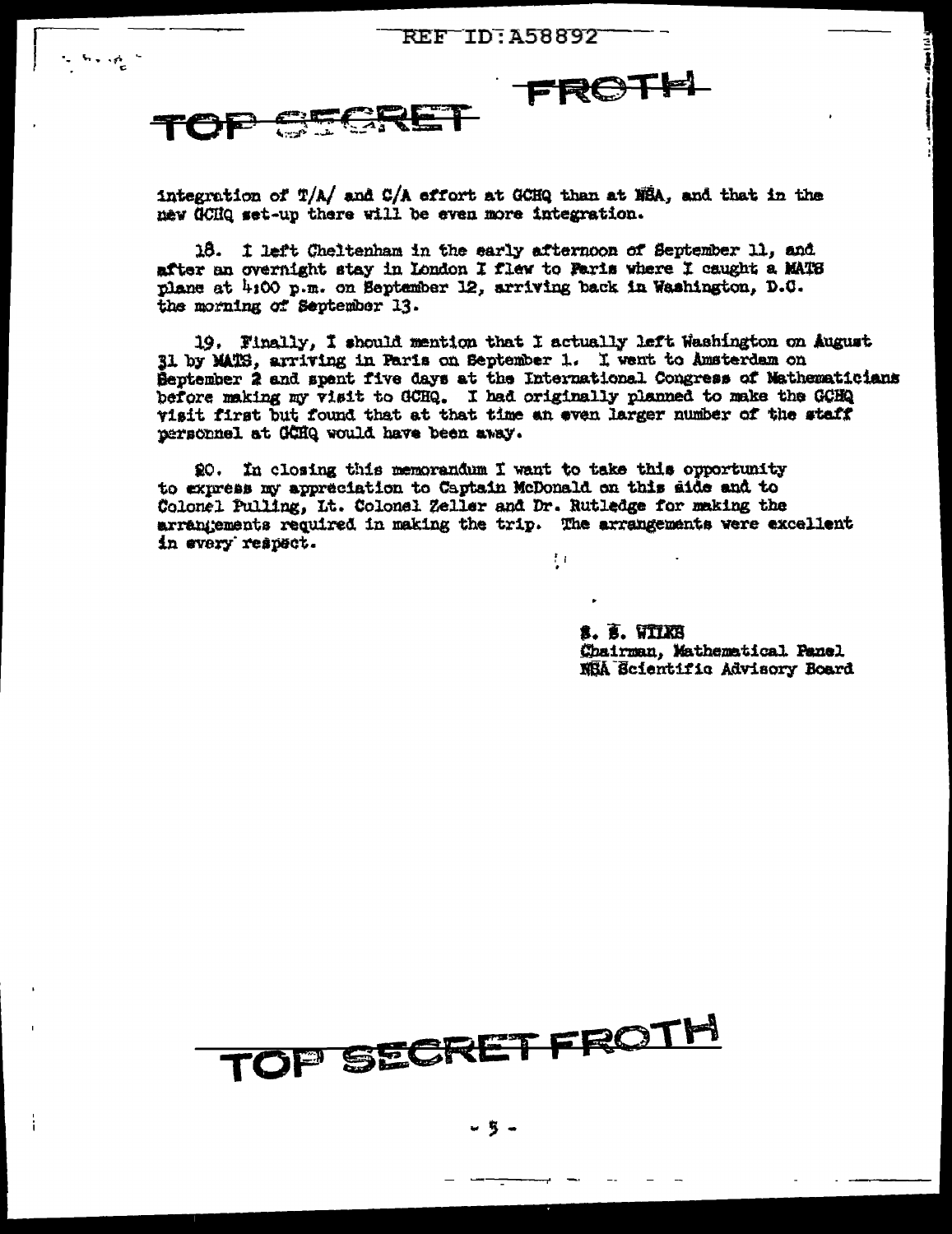

 $\cdots$ 

integration of T/A/ and C/A effort at GCHQ than at NBA, and that in the new GCHQ set-up there will be even more integration.

18. I left Cheltenham in the early afternoon of September 11, and after an overnight stay in London I flew to Paris where I caught a MATS plane at 4:00 p.m. on September 12, arriving back in Washington, D.C. the morning of September 13.

19. Finally, I should mention that I actually left Washington on August 31 by MATS, arriving in Paris on September 1. I went to Amsterdam on Beptember 2 and spent five days at the International Congress of Mathematicians before making my visit to GCHQ. I had originally planned to make the GCHQ visit first but found that at that time an even larger number of the staff personnel at GCHQ would have been away.

20. In closing this memorandum I want to take this opportunity to express my appreciation to Captain McDonald on this side and to Colonel Pulling, Lt. Colonel Zeller and Dr. Rutledge for making the arrangements required in making the trip. The arrangements were excellent in every respect.  $\frac{1}{2}$  (

> s. 5. viixb Chairman, Mathematical Panel NEA Ecientific Advisory Board

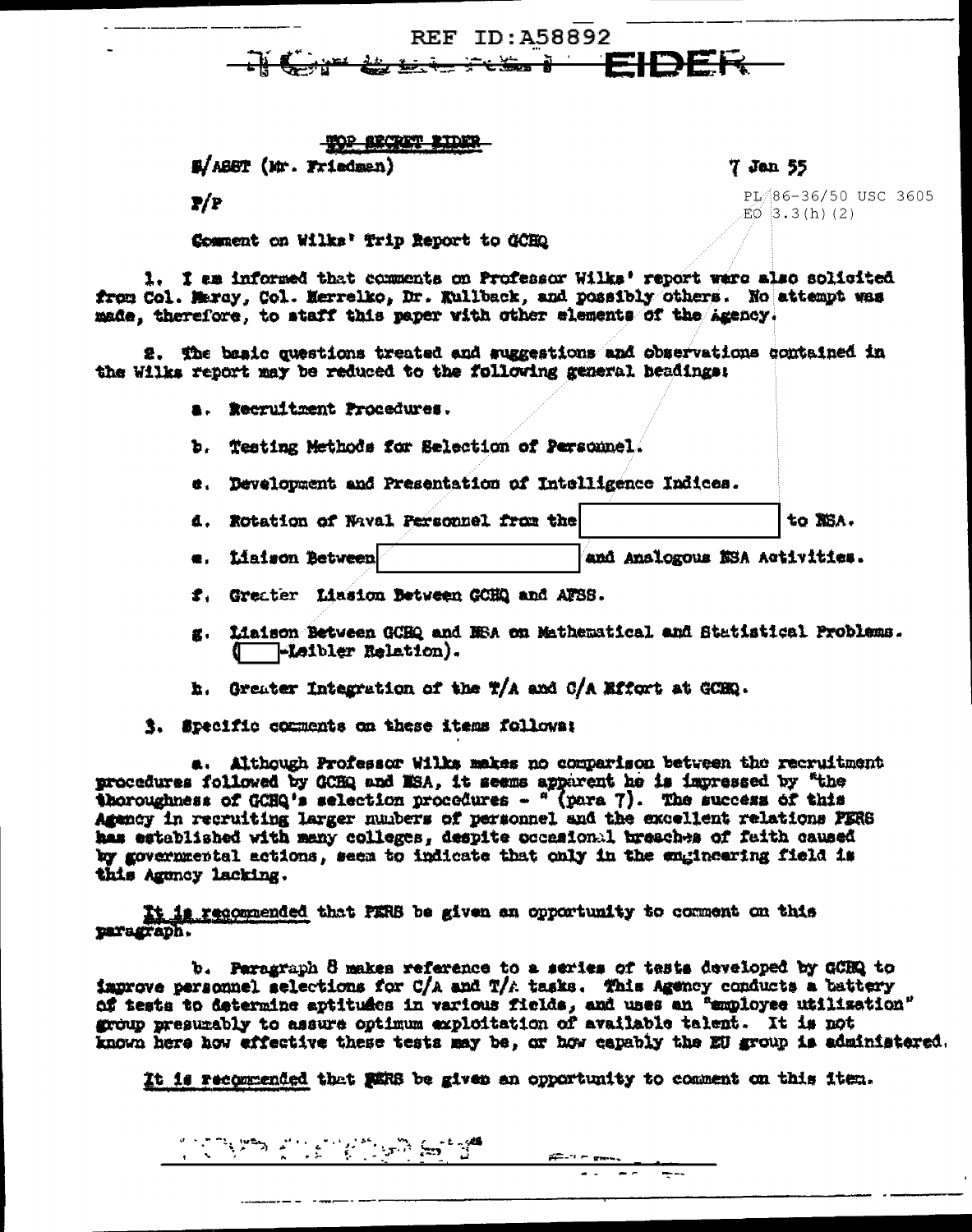

**TOP SECTION RIDER** 

E/ABBT (Mr. Friedman)

P/P

Comment on Wilks' Trip Report to GCHQ

1. I am informed that comments on Professor Wilks' report ware also solicited from Col. Maray. Col. Merrelko. Dr. Kullback, and possibly others. No attempt was made, therefore, to staff this paper with other elements of the Azency.

2. The basic questions treated and suggestions and observations contained in the Wilks report may be reduced to the following general headings:

a. Recruitment Procedures.

b. Testing Methods for Selection of Personnel.

e. Develoument and Presentation of Intelligence Indices.

- 4. Rotation of Naval Personnel from the to NSA.
- e. Liaison Between and Analogous NSA Activities.

f. Greater Liasion Between GCHQ and AFSS.

- g. fiaison Between GCHQ and NSA on Mathematical and Statistical Problems. ( -Leibler Relation).
- h. Greater Integration of the T/A and C/A Effort at GCHQ.
- 3. Specific comments on these items follows:

a. Although Professor Wilks makes no comparison between the recruitment procedures followed by OCHQ and NSA, it seems apparent he is impressed by "the thoroughness of GCHQ's selection procedures  $\frac{1}{2}$  (para 7). The success of this Agency in recruiting larger numbers of personnel and the excellent relations PERS has established with many colleges, despite occasional breaches of faith caused by governmental actions, seem to indicate that only in the engineering field is this Agency lacking.

It is recommended that PERS be given an opportunity to comment on this paragraph.

b. Paragraph 8 makes reference to a series of tests developed by GCBQ to improve personnel selections for C/A and T/A tasks. This Agency conducts a battery of tests to determine aptitudes in various fields, and uses an "employee utilisation" group presurably to assure optimum exploitation of available talent. It is not known here how effective these tests may be, or how capably the EU group is administered.

It is recommended that MERS be given an opportunity to comment on this item.

 $F = 10$  masses

 $\overline{a}$  ,  $\overline{a}$  ,  $\overline{a}$  ,  $\overline{a}$ 

7 Jan 55

PL 86-36/50 USC 3605  $EO$  3.3(h)(2)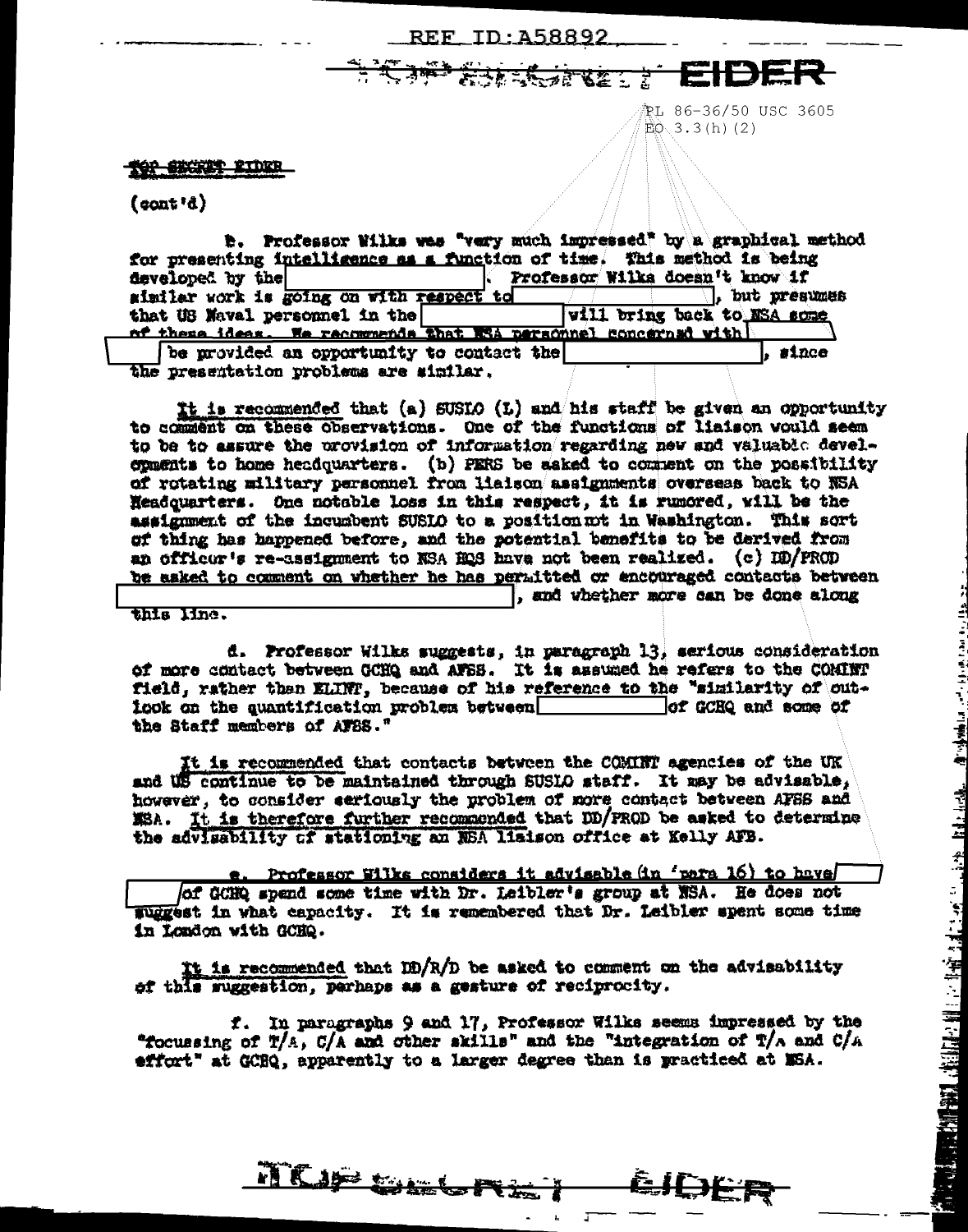### REE ID: A58892

法法法法律收益

配L 86-36/50 USC 3605  $EQ$  3.3(h)(2)

#### tor excret expre

 $(cont<sup>*</sup>)$ 

| <b>B.</b> Professor Wilks was "very much impressed" by a graphical method |                                 |
|---------------------------------------------------------------------------|---------------------------------|
| for presenting intelligence as a function of time. This method is being   |                                 |
| developed by the                                                          | Professor Wilks doesn't know if |
| similar work is going on with respect to                                  | . but presumes                  |
| that US Naval personnel in the                                            | vill bring back to NSA some     |
| of these ideas. We recommends that NSA personnel concerned with           |                                 |
| be provided an opportunity to contact the                                 | $_{\tt{succ}}$                  |
| the presentation problems are similar.                                    |                                 |

It is recommended that (a) SUSIO (L) and his staff be given an opportunity to comment on these observations. One of the functions of liaison would seem to be to assure the provision of information regarding new and valuable developments to home headquarters. (b) FERS be asked to comment on the possibility of rotating military personnel from liaison assignments overseas back to NSA Headquarters. One notable loss in this respect, it is rumored, will be the assignment of the incumbent SUSIO to a position mt in Washington. This sort of thing has happened before, and the potential benefits to be derived from an officur's re-assignment to NSA HOS have not been realized. (c) DD/FROD be asked to comment on whether he has permitted or encouraged contacts between , and whether more can be done along

this line.

d. Professor Wilks suggests, in paragraph 13, sarious consideration of more contact between GCHQ and AFSS. It is assumed he refers to the COMINT field, rather than ELINT, because of his reference to the "similarity of outicok on the quantification problem between of GCEQ and some of the Staff members of AFBS."

It is recommended that contacts between the COMINT agencies of the UK and US continue to be maintained through SUSIO staff. It may be advisable, however, to consider seriously the problem of more contact between AFSS and MSA. It is therefore further recommended that DD/FROD be asked to determine the advigability of stationing an NSA lisison office at Kelly AFB.

Professor Wilks considers it advisable (in 'para 16) to have of GCHQ spend some time with Dr. Leibler's group at NSA. He does not Wiggest in what capacity. It is remembered that Dr. Leibler spent some time in London with GCHQ.

It is recommended that ID/R/D be asked to comment on the advisability of this suggestion, perhaps as a gesture of reciprocity.

f. In paragraphs 9 and 17, Professor Wilks seems impressed by the "focussing of T/A, C/A and other skills" and the "integration of T/A and C/A effort" at GCBQ, apparently to a larger degree than is practiced at MSA.

êJDE R

TICIP GILLITE